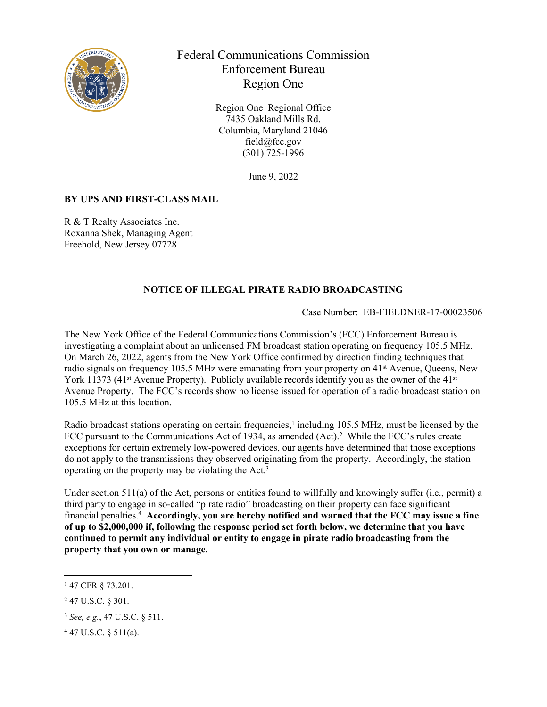

Federal Communications Commission Enforcement Bureau Region One

> Region One Regional Office 7435 Oakland Mills Rd. Columbia, Maryland 21046 field@fcc.gov (301) 725-1996

> > June 9, 2022

## **BY UPS AND FIRST-CLASS MAIL**

R & T Realty Associates Inc. Roxanna Shek, Managing Agent Freehold, New Jersey 07728

## **NOTICE OF ILLEGAL PIRATE RADIO BROADCASTING**

Case Number: EB-FIELDNER-17-00023506

The New York Office of the Federal Communications Commission's (FCC) Enforcement Bureau is investigating a complaint about an unlicensed FM broadcast station operating on frequency 105.5 MHz. On March 26, 2022, agents from the New York Office confirmed by direction finding techniques that radio signals on frequency 105.5 MHz were emanating from your property on 41st Avenue, Queens, New York 11373 (41<sup>st</sup> Avenue Property). Publicly available records identify you as the owner of the 41<sup>st</sup> Avenue Property. The FCC's records show no license issued for operation of a radio broadcast station on 105.5 MHz at this location.

Radio broadcast stations operating on certain frequencies,<sup>1</sup> including 105.5 MHz, must be licensed by the FCC pursuant to the Communications Act of 1934, as amended (Act).<sup>2</sup> While the FCC's rules create exceptions for certain extremely low-powered devices, our agents have determined that those exceptions do not apply to the transmissions they observed originating from the property. Accordingly, the station operating on the property may be violating the Act.<sup>3</sup>

Under section 511(a) of the Act, persons or entities found to willfully and knowingly suffer (i.e., permit) a third party to engage in so-called "pirate radio" broadcasting on their property can face significant financial penalties.<sup>4</sup> **Accordingly, you are hereby notified and warned that the FCC may issue a fine of up to \$2,000,000 if, following the response period set forth below, we determine that you have continued to permit any individual or entity to engage in pirate radio broadcasting from the property that you own or manage.** 

<sup>1</sup> 47 CFR § 73.201.

<sup>2</sup> 47 U.S.C. § 301.

<sup>3</sup> *See, e.g.*, 47 U.S.C. § 511.

<sup>4</sup> 47 U.S.C. § 511(a).